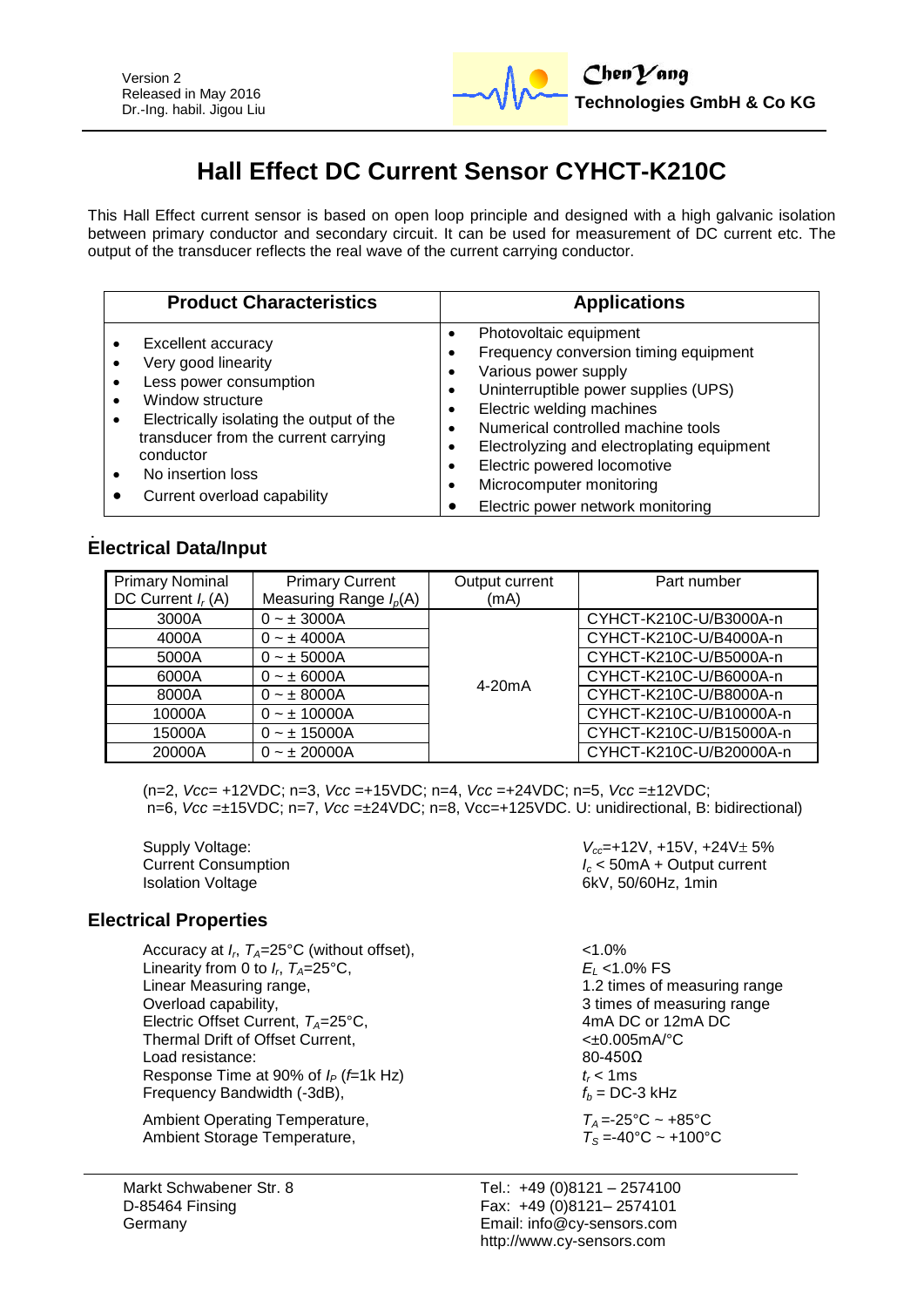

# **Hall Effect DC Current Sensor CYHCT-K210C**

This Hall Effect current sensor is based on open loop principle and designed with a high galvanic isolation between primary conductor and secondary circuit. It can be used for measurement of DC current etc. The output of the transducer reflects the real wave of the current carrying conductor.

| <b>Product Characteristics</b>                                                                                                                                                                                                                                                      | <b>Applications</b>                                                                                                                                                                                                                                                                                                                                                  |  |
|-------------------------------------------------------------------------------------------------------------------------------------------------------------------------------------------------------------------------------------------------------------------------------------|----------------------------------------------------------------------------------------------------------------------------------------------------------------------------------------------------------------------------------------------------------------------------------------------------------------------------------------------------------------------|--|
| Excellent accuracy<br>Very good linearity<br>Less power consumption<br>$\bullet$<br>Window structure<br>$\bullet$<br>Electrically isolating the output of the<br>$\bullet$<br>transducer from the current carrying<br>conductor<br>No insertion loss<br>Current overload capability | Photovoltaic equipment<br>Frequency conversion timing equipment<br>٠<br>Various power supply<br>٠<br>Uninterruptible power supplies (UPS)<br>Electric welding machines<br>Numerical controlled machine tools<br>Electrolyzing and electroplating equipment<br>٠<br>Electric powered locomotive<br>٠<br>Microcomputer monitoring<br>Electric power network monitoring |  |

# **Electrical Data/Input**

| <b>Primary Nominal</b><br>DC Current $I_r(A)$ | <b>Primary Current</b><br>Measuring Range $I_p(A)$ | Output current<br>(mA) | Part number             |
|-----------------------------------------------|----------------------------------------------------|------------------------|-------------------------|
| 3000A                                         | $0 - \pm 3000A$                                    | $4-20mA$               | CYHCT-K210C-U/B3000A-n  |
| 4000A                                         | $0 - \pm 4000A$                                    |                        | CYHCT-K210C-U/B4000A-n  |
| 5000A                                         | $0 - \pm 5000A$                                    |                        | CYHCT-K210C-U/B5000A-n  |
| 6000A                                         | $0 - \pm 6000A$                                    |                        | CYHCT-K210C-U/B6000A-n  |
| 8000A                                         | $0 - \pm 8000A$                                    |                        | CYHCT-K210C-U/B8000A-n  |
| 10000A                                        | $0 - \pm 10000A$                                   |                        | CYHCT-K210C-U/B10000A-n |
| 15000A                                        | $0 - \pm 15000A$                                   |                        | CYHCT-K210C-U/B15000A-n |
| 20000A                                        | $0 - \pm 20000A$                                   |                        | CYHCT-K210C-U/B20000A-n |

(n=2, *Vcc*= +12VDC; n=3, *Vcc* =+15VDC; n=4, *Vcc* =+24VDC; n=5, *Vcc* =±12VDC; n=6, *Vcc* =±15VDC; n=7, *Vcc* =±24VDC; n=8, Vcc=+125VDC. U: unidirectional, B: bidirectional)

### **Electrical Properties**

Accuracy at  $I_r$ ,  $T_A$ =25°C (without offset),  $\leq 1.0\%$ Linearity from 0 to  $I_r$ ,  $T_A = 25^\circ \text{C}$ ,<br>Linear Measuring range, Linear Measuring range,<br>
Overload capability,<br>
Overload capability,<br>  $\frac{1}{2}$  times of measuring range Electric Offset Current,  $T_A = 25^{\circ}$ C, 4mA DC or 12mA DC<br>Thermal Drift of Offset Current,  $\leq 40.005$ mA/°C Thermal Drift of Offset Current, Load resistance:  $80-450\Omega$ Response Time at 90% of  $I_P$  (*f*=1k Hz)  $t_r < 1$ ms<br>Frequency Bandwidth (-3dB),  $f_b = DC-3$  kHz Frequency Bandwidth (-3dB),

Ambient Operating Temperature,  $T_A = -25^{\circ}\text{C} \sim +85^{\circ}\text{C}$ <br>Ambient Storage Temperature,  $T_S = -40^{\circ}\text{C} \sim +100^{\circ}\text{C}$ Ambient Storage Temperature,

Supply Voltage:<br>Current Consumption<br>Current Consumption<br> $V_{cc}$ =+12V, +15V, +24V± 5% Current Consumption<br>
Isolation Voltage<br>
Isolation Voltage<br> **Ic** < 50mA + Output current<br> **Ic** + 6kV, 50/60Hz, 1min 6kV, 50/60Hz, 1min

> , *TA*=25°C, *E<sup>L</sup>* <1.0% FS 3 times of measuring range